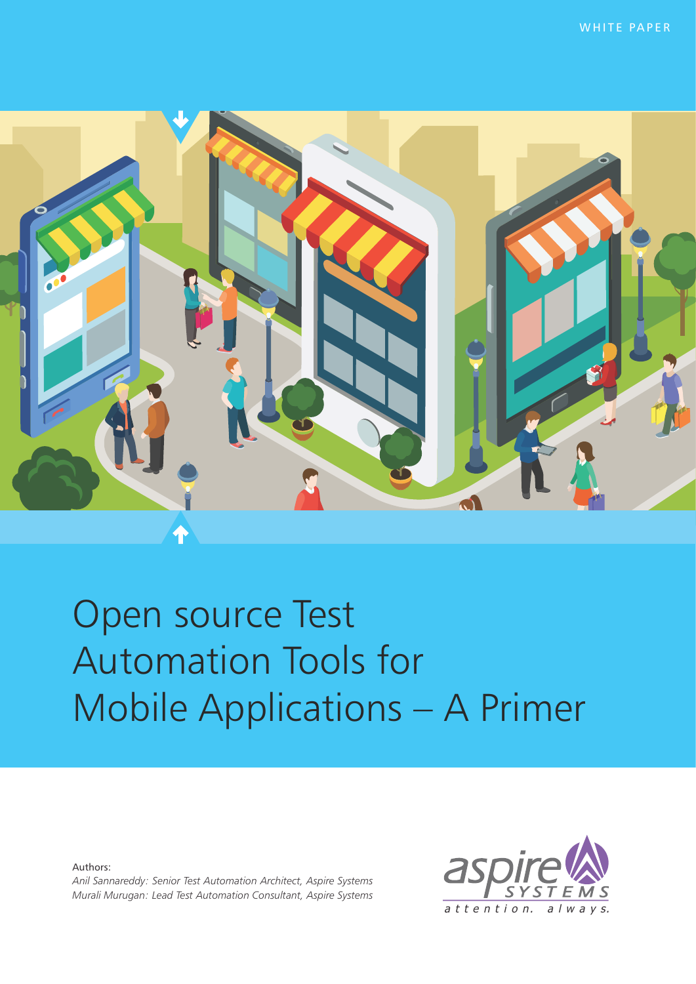

# Open source Test **Automation Tools for** Mobile Applications - A Primer

Authors:

Anil Sannareddy: Senior Test Automation Architect, Aspire Systems Murali Murugan: Lead Test Automation Consultant, Aspire Systems

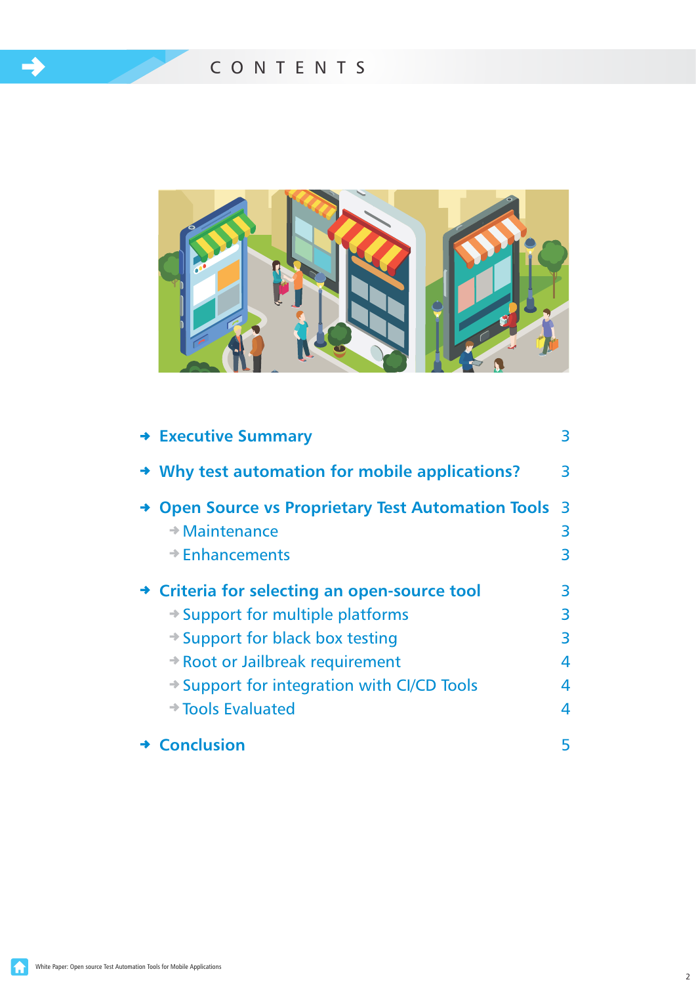$\rightarrow$ 



| $\rightarrow$ Executive Summary                                                        | 3      |
|----------------------------------------------------------------------------------------|--------|
| $\rightarrow$ Why test automation for mobile applications?                             | 3      |
| <b>Open Source vs Proprietary Test Automation Tools 3</b><br>$\rightarrow$ Maintenance |        |
| $\rightarrow$ Enhancements                                                             | 3<br>3 |
| → Criteria for selecting an open-source tool                                           | 3      |
| $\rightarrow$ Support for multiple platforms                                           | 3      |
| $\rightarrow$ Support for black box testing                                            | 3      |
| → Root or Jailbreak requirement                                                        | 4      |
| $\rightarrow$ Support for integration with CI/CD Tools                                 | 4      |
| $\rightarrow$ Tools Evaluated                                                          | 4      |
| → Conclusion                                                                           |        |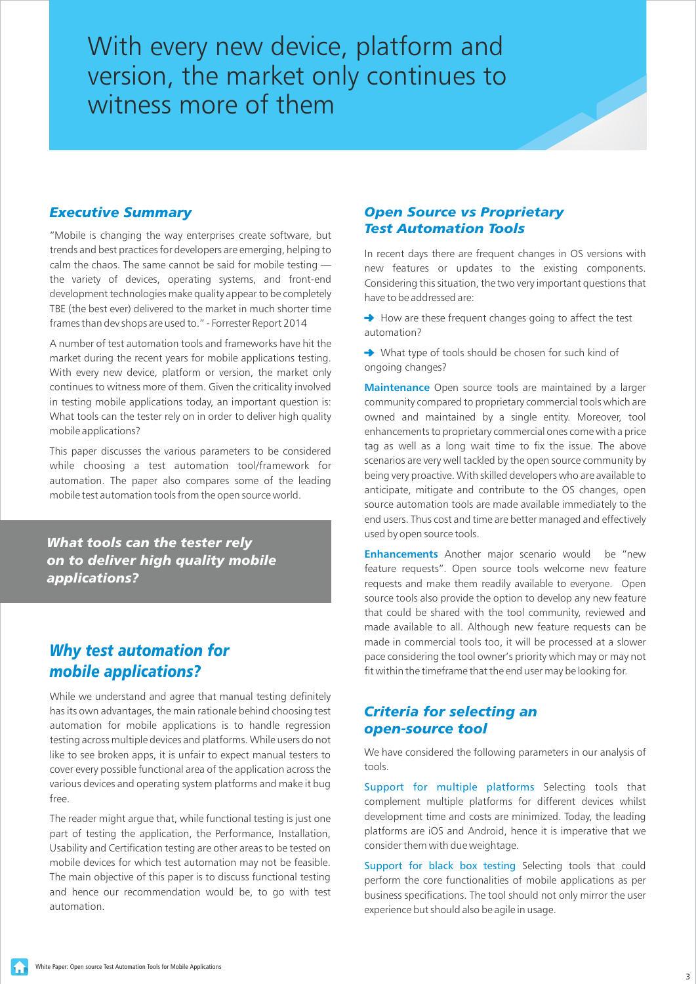<span id="page-2-0"></span>With every new device, platform and version, the market only continues to witness more of them

#### *Executive Summary*

"Mobile is changing the way enterprises create software, but trends and best practices for developers are emerging, helping to calm the chaos. The same cannot be said for mobile testing the variety of devices, operating systems, and front-end development technologies make quality appear to be completely TBE (the best ever) delivered to the market in much shorter time frames than dev shops are used to." - Forrester Report 2014

A number of test automation tools and frameworks have hit the market during the recent years for mobile applications testing. With every new device, platform or version, the market only continues to witness more of them. Given the criticality involved in testing mobile applications today, an important question is: What tools can the tester rely on in order to deliver high quality mobile applications?

This paper discusses the various parameters to be considered while choosing a test automation tool/framework for automation. The paper also compares some of the leading mobile test automation tools from the open source world.

*What tools can the tester rely on to deliver high quality mobile applications?* 

# *Why test automation for mobile applications?*

While we understand and agree that manual testing definitely has its own advantages, the main rationale behind choosing test automation for mobile applications is to handle regression testing across multiple devices and platforms. While users do not like to see broken apps, it is unfair to expect manual testers to cover every possible functional area of the application across the various devices and operating system platforms and make it bug free.

The reader might argue that, while functional testing is just one part of testing the application, the Performance, Installation, Usability and Certification testing are other areas to be tested on mobile devices for which test automation may not be feasible. The main objective of this paper is to discuss functional testing and hence our recommendation would be, to go with test automation.

### *Open Source vs Proprietary Test Automation Tools*

In recent days there are frequent changes in OS versions with new features or updates to the existing components. Considering this situation, the two very important questions that have to be addressed are:

 $\rightarrow$  How are these frequent changes going to affect the test automation?

◆ What type of tools should be chosen for such kind of ongoing changes?

**Maintenance** Open source tools are maintained by a larger community compared to proprietary commercial tools which are owned and maintained by a single entity. Moreover, tool enhancements to proprietary commercial ones come with a price tag as well as a long wait time to fix the issue. The above scenarios are very well tackled by the open source community by being very proactive. With skilled developers who are available to anticipate, mitigate and contribute to the OS changes, open source automation tools are made available immediately to the end users. Thus cost and time are better managed and effectively used by open source tools.

**Enhancements** Another major scenario would be "new feature requests". Open source tools welcome new feature requests and make them readily available to everyone. Open source tools also provide the option to develop any new feature that could be shared with the tool community, reviewed and made available to all. Although new feature requests can be made in commercial tools too, it will be processed at a slower pace considering the tool owner's priority which may or may not fit within the timeframe that the end user may be looking for.

## *Criteria for selecting an open-source tool*

We have considered the following parameters in our analysis of tools.

Support for multiple platforms Selecting tools that complement multiple platforms for different devices whilst development time and costs are minimized. Today, the leading platforms are iOS and Android, hence it is imperative that we consider them with due weightage.

Support for black box testing Selecting tools that could perform the core functionalities of mobile applications as per business specifications. The tool should not only mirror the user experience but should also be agile in usage.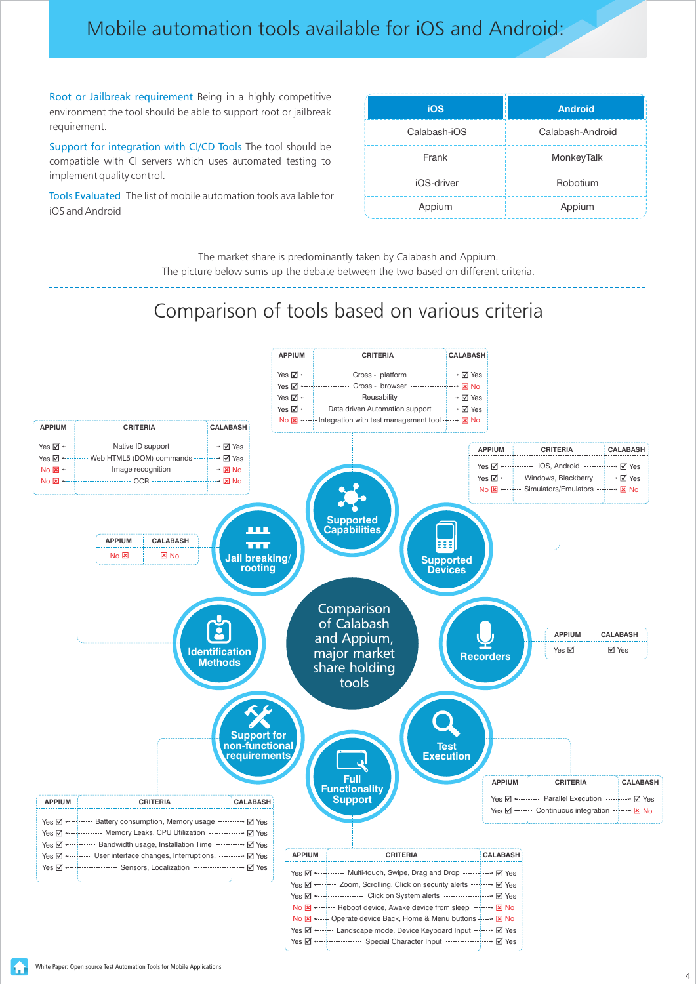# Mobile automation tools available for iOS and Android:

Root or Jailbreak requirement Being in a highly competitive environment the tool should be able to support root or jailbreak requirement.

Support for integration with CI/CD Tools The tool should be compatible with CI servers which uses automated testing to implement quality control.

Tools Evaluated The list of mobile automation tools available for iOS and Android

| <b>iOS</b>   | <b>Android</b>   |
|--------------|------------------|
| Calabash-iOS | Calabash-Android |
| Frank        | MonkeyTalk       |
| iOS-driver   | Robotium         |
| Appium       | Appium           |

The market share is predominantly taken by Calabash and Appium. The picture below sums up the debate between the two based on different criteria.

# Comparison of tools based on various criteria